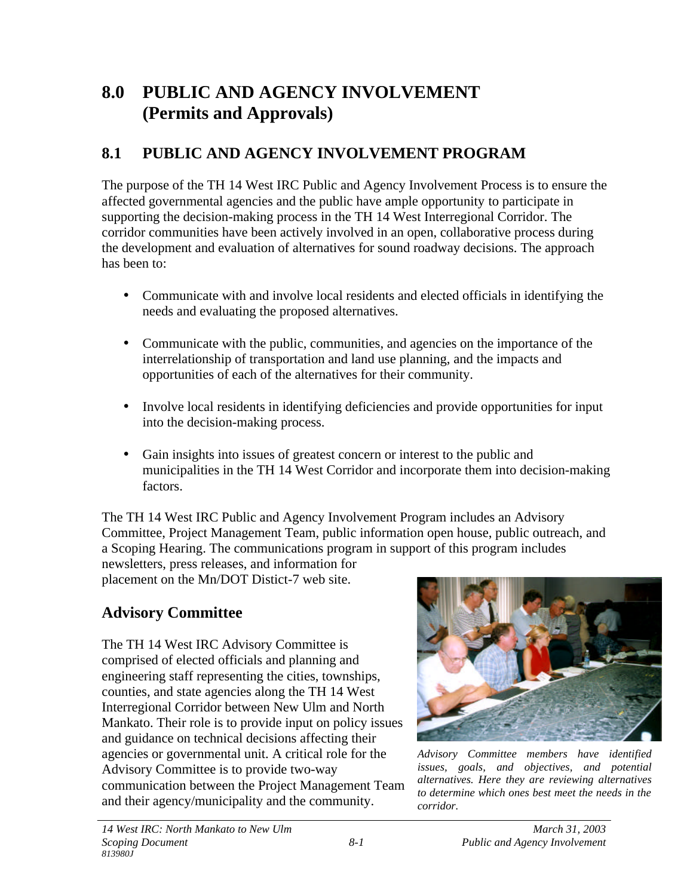# **8.0 PUBLIC AND AGENCY INVOLVEMENT (Permits and Approvals)**

# **8.1 PUBLIC AND AGENCY INVOLVEMENT PROGRAM**

The purpose of the TH 14 West IRC Public and Agency Involvement Process is to ensure the affected governmental agencies and the public have ample opportunity to participate in supporting the decision-making process in the TH 14 West Interregional Corridor. The corridor communities have been actively involved in an open, collaborative process during the development and evaluation of alternatives for sound roadway decisions. The approach has been to:

- Communicate with and involve local residents and elected officials in identifying the needs and evaluating the proposed alternatives.
- Communicate with the public, communities, and agencies on the importance of the interrelationship of transportation and land use planning, and the impacts and opportunities of each of the alternatives for their community.
- Involve local residents in identifying deficiencies and provide opportunities for input into the decision-making process.
- Gain insights into issues of greatest concern or interest to the public and municipalities in the TH 14 West Corridor and incorporate them into decision-making factors.

The TH 14 West IRC Public and Agency Involvement Program includes an Advisory Committee, Project Management Team, public information open house, public outreach, and a Scoping Hearing. The communications program in support of this program includes

newsletters, press releases, and information for placement on the Mn/DOT Distict-7 web site.

# **Advisory Committee**

The TH 14 West IRC Advisory Committee is comprised of elected officials and planning and engineering staff representing the cities, townships, counties, and state agencies along the TH 14 West Interregional Corridor between New Ulm and North Mankato. Their role is to provide input on policy issues and guidance on technical decisions affecting their agencies or governmental unit. A critical role for the Advisory Committee is to provide two-way communication between the Project Management Team and their agency/municipality and the community.



*Advisory Committee members have identified issues, goals, and objectives, and potential alternatives. Here they are reviewing alternatives to determine which ones best meet the needs in the corridor.*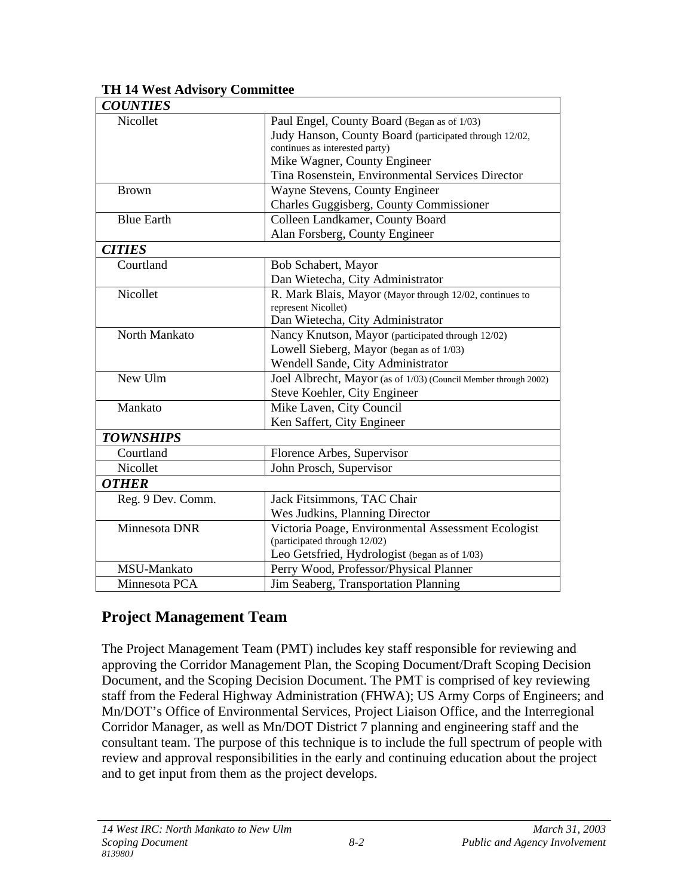| <b>COUNTIES</b>   |                                                                 |
|-------------------|-----------------------------------------------------------------|
| Nicollet          | Paul Engel, County Board (Began as of 1/03)                     |
|                   | Judy Hanson, County Board (participated through 12/02,          |
|                   | continues as interested party)                                  |
|                   | Mike Wagner, County Engineer                                    |
|                   | Tina Rosenstein, Environmental Services Director                |
| <b>Brown</b>      | Wayne Stevens, County Engineer                                  |
|                   | Charles Guggisberg, County Commissioner                         |
| <b>Blue Earth</b> | Colleen Landkamer, County Board                                 |
|                   | Alan Forsberg, County Engineer                                  |
| <b>CITIES</b>     |                                                                 |
| Courtland         | Bob Schabert, Mayor                                             |
|                   | Dan Wietecha, City Administrator                                |
| Nicollet          | R. Mark Blais, Mayor (Mayor through 12/02, continues to         |
|                   | represent Nicollet)                                             |
|                   | Dan Wietecha, City Administrator                                |
| North Mankato     | Nancy Knutson, Mayor (participated through 12/02)               |
|                   | Lowell Sieberg, Mayor (began as of 1/03)                        |
|                   | Wendell Sande, City Administrator                               |
| New Ulm           | Joel Albrecht, Mayor (as of 1/03) (Council Member through 2002) |
|                   | Steve Koehler, City Engineer                                    |
| Mankato           | Mike Laven, City Council                                        |
|                   | Ken Saffert, City Engineer                                      |
| <b>TOWNSHIPS</b>  |                                                                 |
| Courtland         | Florence Arbes, Supervisor                                      |
| Nicollet          | John Prosch, Supervisor                                         |
| <b>OTHER</b>      |                                                                 |
| Reg. 9 Dev. Comm. | Jack Fitsimmons, TAC Chair                                      |
|                   | Wes Judkins, Planning Director                                  |
| Minnesota DNR     | Victoria Poage, Environmental Assessment Ecologist              |
|                   | (participated through 12/02)                                    |
|                   | Leo Getsfried, Hydrologist (began as of 1/03)                   |
| MSU-Mankato       | Perry Wood, Professor/Physical Planner                          |
| Minnesota PCA     | Jim Seaberg, Transportation Planning                            |

#### **TH 14 West Advisory Committee**

## **Project Management Team**

The Project Management Team (PMT) includes key staff responsible for reviewing and approving the Corridor Management Plan, the Scoping Document/Draft Scoping Decision Document, and the Scoping Decision Document. The PMT is comprised of key reviewing staff from the Federal Highway Administration (FHWA); US Army Corps of Engineers; and Mn/DOT's Office of Environmental Services, Project Liaison Office, and the Interregional Corridor Manager, as well as Mn/DOT District 7 planning and engineering staff and the consultant team. The purpose of this technique is to include the full spectrum of people with review and approval responsibilities in the early and continuing education about the project and to get input from them as the project develops.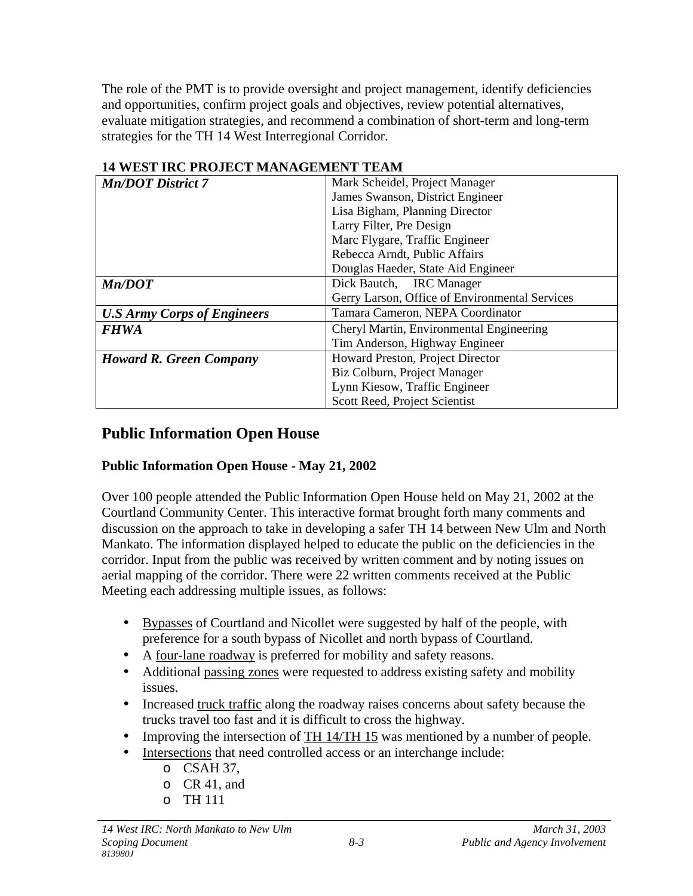The role of the PMT is to provide oversight and project management, identify deficiencies and opportunities, confirm project goals and objectives, review potential alternatives, evaluate mitigation strategies, and recommend a combination of short-term and long-term strategies for the TH 14 West Interregional Corridor.

| 17 ОЕВТ ПАС ГАОЈЕСТ МАНАОЕМЕНТ ГЕАМ |                                                |  |
|-------------------------------------|------------------------------------------------|--|
| <b>Mn/DOT District 7</b>            | Mark Scheidel, Project Manager                 |  |
|                                     | James Swanson, District Engineer               |  |
|                                     | Lisa Bigham, Planning Director                 |  |
|                                     | Larry Filter, Pre Design                       |  |
|                                     | Marc Flygare, Traffic Engineer                 |  |
|                                     | Rebecca Arndt, Public Affairs                  |  |
|                                     | Douglas Haeder, State Aid Engineer             |  |
| Mn/DOT                              | Dick Bautch, IRC Manager                       |  |
|                                     | Gerry Larson, Office of Environmental Services |  |
| <b>U.S Army Corps of Engineers</b>  | Tamara Cameron, NEPA Coordinator               |  |
| <b>FHWA</b>                         | Cheryl Martin, Environmental Engineering       |  |
|                                     | Tim Anderson, Highway Engineer                 |  |
| <b>Howard R. Green Company</b>      | Howard Preston, Project Director               |  |
|                                     | Biz Colburn, Project Manager                   |  |
|                                     | Lynn Kiesow, Traffic Engineer                  |  |
|                                     | Scott Reed, Project Scientist                  |  |

#### **14 WEST IRC PROJECT MANAGEMENT TEAM**

## **Public Information Open House**

#### **Public Information Open House - May 21, 2002**

Over 100 people attended the Public Information Open House held on May 21, 2002 at the Courtland Community Center. This interactive format brought forth many comments and discussion on the approach to take in developing a safer TH 14 between New Ulm and North Mankato. The information displayed helped to educate the public on the deficiencies in the corridor. Input from the public was received by written comment and by noting issues on aerial mapping of the corridor. There were 22 written comments received at the Public Meeting each addressing multiple issues, as follows:

- Bypasses of Courtland and Nicollet were suggested by half of the people, with preference for a south bypass of Nicollet and north bypass of Courtland.
- A four-lane roadway is preferred for mobility and safety reasons.
- Additional passing zones were requested to address existing safety and mobility issues.
- Increased truck traffic along the roadway raises concerns about safety because the trucks travel too fast and it is difficult to cross the highway.
- Improving the intersection of TH 14/TH 15 was mentioned by a number of people.
- Intersections that need controlled access or an interchange include:
	- o CSAH 37,
	- o CR 41, and
	- o TH 111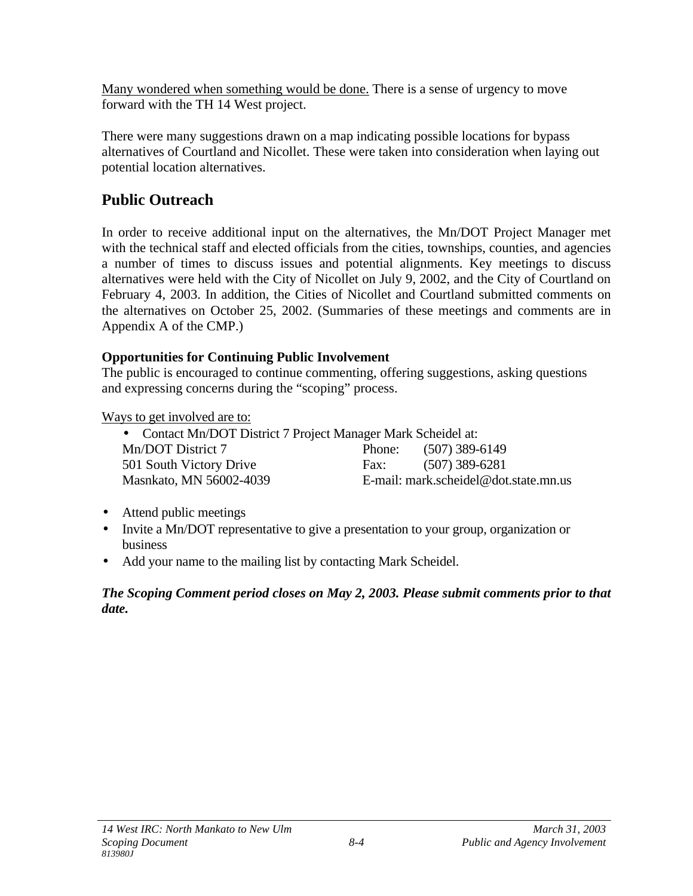Many wondered when something would be done. There is a sense of urgency to move forward with the TH 14 West project.

There were many suggestions drawn on a map indicating possible locations for bypass alternatives of Courtland and Nicollet. These were taken into consideration when laying out potential location alternatives.

# **Public Outreach**

In order to receive additional input on the alternatives, the Mn/DOT Project Manager met with the technical staff and elected officials from the cities, townships, counties, and agencies a number of times to discuss issues and potential alignments. Key meetings to discuss alternatives were held with the City of Nicollet on July 9, 2002, and the City of Courtland on February 4, 2003. In addition, the Cities of Nicollet and Courtland submitted comments on the alternatives on October 25, 2002. (Summaries of these meetings and comments are in Appendix A of the CMP.)

#### **Opportunities for Continuing Public Involvement**

The public is encouraged to continue commenting, offering suggestions, asking questions and expressing concerns during the "scoping" process.

Ways to get involved are to:

| • Contact Mn/DOT District 7 Project Manager Mark Scheidel at: |      |                                       |  |
|---------------------------------------------------------------|------|---------------------------------------|--|
| Mn/DOT District 7                                             |      | Phone: $(507)$ 389-6149               |  |
| 501 South Victory Drive                                       | Fax: | $(507)$ 389-6281                      |  |
| Masnkato, MN 56002-4039                                       |      | E-mail: mark.scheidel@dot.state.mn.us |  |

- Attend public meetings
- Invite a Mn/DOT representative to give a presentation to your group, organization or business
- Add your name to the mailing list by contacting Mark Scheidel.

#### *The Scoping Comment period closes on May 2, 2003. Please submit comments prior to that date.*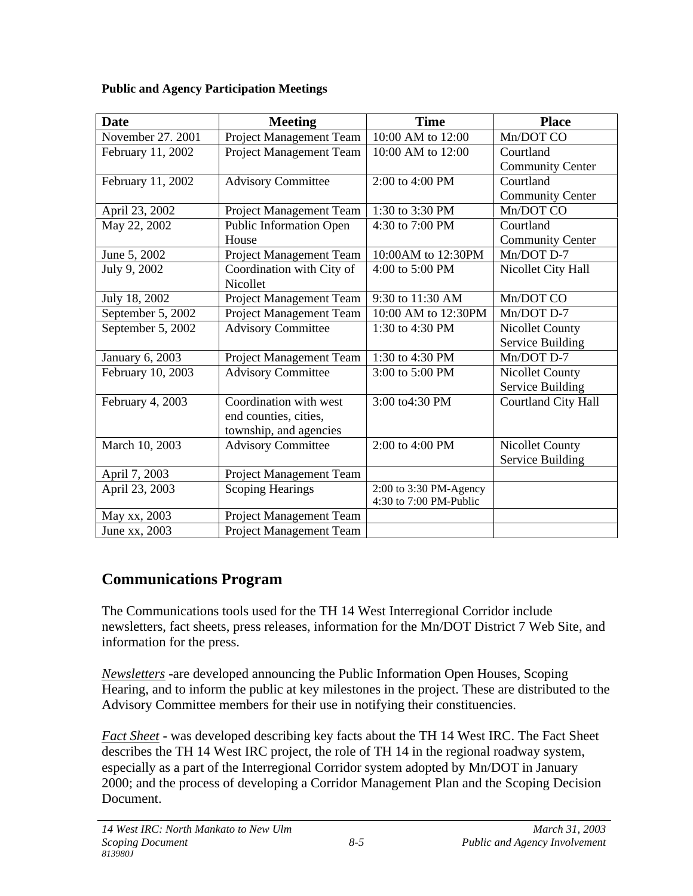| <b>Date</b>       | <b>Meeting</b>            | <b>Time</b>            | <b>Place</b>            |
|-------------------|---------------------------|------------------------|-------------------------|
| November 27, 2001 | Project Management Team   | 10:00 AM to 12:00      | Mn/DOT CO               |
| February 11, 2002 | Project Management Team   | 10:00 AM to 12:00      | Courtland               |
|                   |                           |                        | <b>Community Center</b> |
| February 11, 2002 | <b>Advisory Committee</b> | 2:00 to 4:00 PM        | Courtland               |
|                   |                           |                        | <b>Community Center</b> |
| April 23, 2002    | Project Management Team   | 1:30 to 3:30 PM        | Mn/DOT CO               |
| May 22, 2002      | Public Information Open   | 4:30 to 7:00 PM        | Courtland               |
|                   | House                     |                        | <b>Community Center</b> |
| June 5, 2002      | Project Management Team   | 10:00AM to 12:30PM     | Mn/DOT D-7              |
| July 9, 2002      | Coordination with City of | 4:00 to 5:00 PM        | Nicollet City Hall      |
|                   | Nicollet                  |                        |                         |
| July 18, 2002     | Project Management Team   | 9:30 to 11:30 AM       | Mn/DOT CO               |
| September 5, 2002 | Project Management Team   | 10:00 AM to 12:30PM    | Mn/DOT D-7              |
| September 5, 2002 | <b>Advisory Committee</b> | 1:30 to 4:30 PM        | <b>Nicollet County</b>  |
|                   |                           |                        | Service Building        |
| January 6, 2003   | Project Management Team   | 1:30 to 4:30 PM        | Mn/DOT D-7              |
| February 10, 2003 | <b>Advisory Committee</b> | 3:00 to 5:00 PM        | Nicollet County         |
|                   |                           |                        | Service Building        |
| February 4, 2003  | Coordination with west    | 3:00 to4:30 PM         | Courtland City Hall     |
|                   | end counties, cities,     |                        |                         |
|                   | township, and agencies    |                        |                         |
| March 10, 2003    | <b>Advisory Committee</b> | 2:00 to 4:00 PM        | Nicollet County         |
|                   |                           |                        | Service Building        |
| April 7, 2003     | Project Management Team   |                        |                         |
| April 23, 2003    | <b>Scoping Hearings</b>   | 2:00 to 3:30 PM-Agency |                         |
|                   |                           | 4:30 to 7:00 PM-Public |                         |
| May xx, 2003      | Project Management Team   |                        |                         |
| June xx, 2003     | Project Management Team   |                        |                         |

#### **Public and Agency Participation Meetings**

## **Communications Program**

The Communications tools used for the TH 14 West Interregional Corridor include newsletters, fact sheets, press releases, information for the Mn/DOT District 7 Web Site, and information for the press.

*Newsletters* **-**are developed announcing the Public Information Open Houses, Scoping Hearing, and to inform the public at key milestones in the project. These are distributed to the Advisory Committee members for their use in notifying their constituencies.

*Fact Sheet* **-** was developed describing key facts about the TH 14 West IRC. The Fact Sheet describes the TH 14 West IRC project, the role of TH 14 in the regional roadway system, especially as a part of the Interregional Corridor system adopted by Mn/DOT in January 2000; and the process of developing a Corridor Management Plan and the Scoping Decision Document.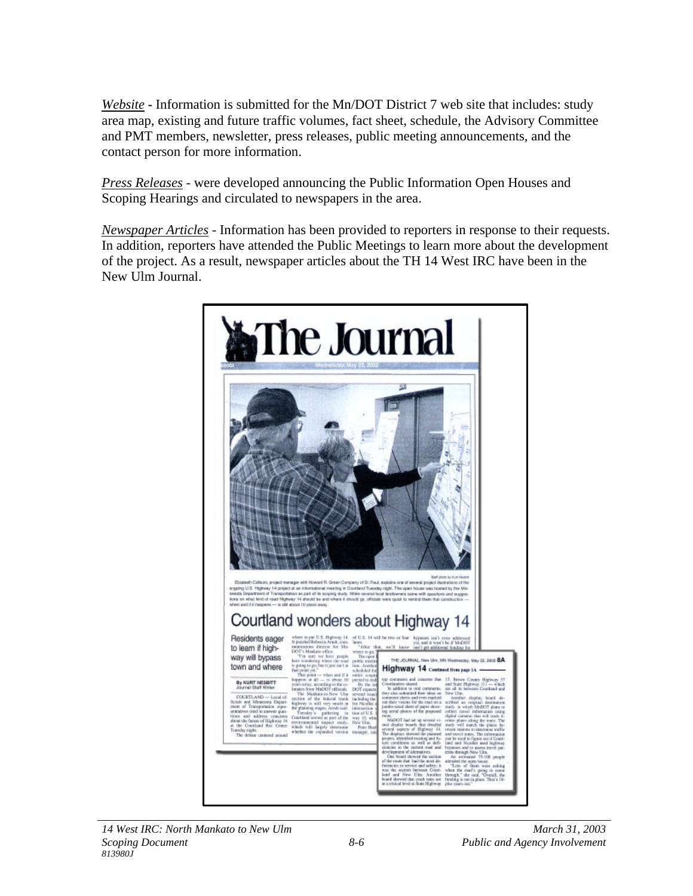*Website* **-** Information is submitted for the Mn/DOT District 7 web site that includes: study area map, existing and future traffic volumes, fact sheet, schedule, the Advisory Committee and PMT members, newsletter, press releases, public meeting announcements, and the contact person for more information.

*Press Releases* - were developed announcing the Public Information Open Houses and Scoping Hearings and circulated to newspapers in the area.

*Newspaper Articles* - Information has been provided to reporters in response to their requests. In addition, reporters have attended the Public Meetings to learn more about the development of the project. As a result, newspaper articles about the TH 14 West IRC have been in the New Ulm Journal.

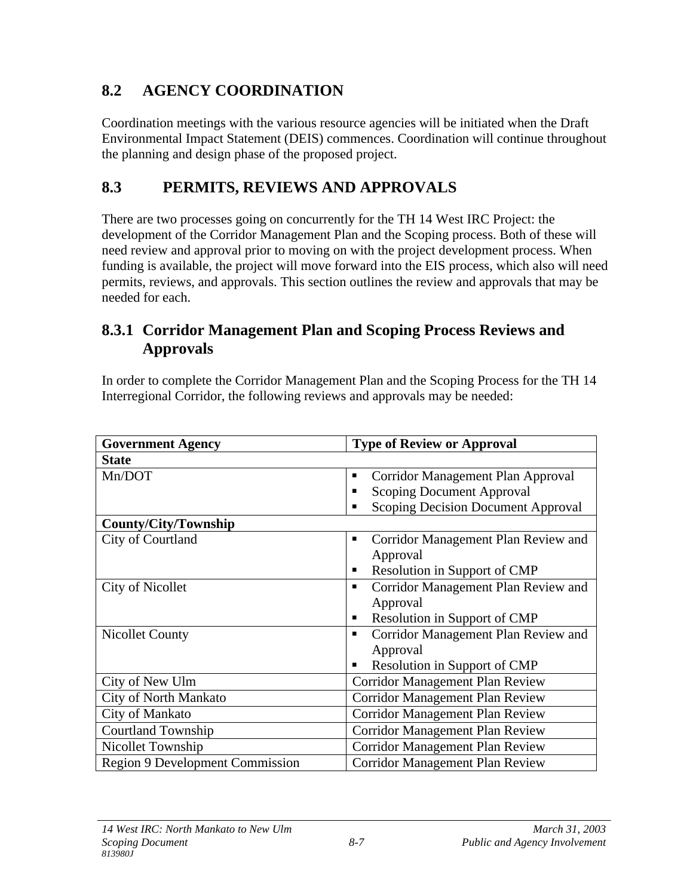# **8.2 AGENCY COORDINATION**

Coordination meetings with the various resource agencies will be initiated when the Draft Environmental Impact Statement (DEIS) commences. Coordination will continue throughout the planning and design phase of the proposed project.

# **8.3 PERMITS, REVIEWS AND APPROVALS**

There are two processes going on concurrently for the TH 14 West IRC Project: the development of the Corridor Management Plan and the Scoping process. Both of these will need review and approval prior to moving on with the project development process. When funding is available, the project will move forward into the EIS process, which also will need permits, reviews, and approvals. This section outlines the review and approvals that may be needed for each.

## **8.3.1 Corridor Management Plan and Scoping Process Reviews and Approvals**

In order to complete the Corridor Management Plan and the Scoping Process for the TH 14 Interregional Corridor, the following reviews and approvals may be needed:

| <b>Government Agency</b>        | <b>Type of Review or Approval</b>        |
|---------------------------------|------------------------------------------|
| <b>State</b>                    |                                          |
| Mn/DOT                          | Corridor Management Plan Approval<br>п   |
|                                 | <b>Scoping Document Approval</b><br>п    |
|                                 | Scoping Decision Document Approval<br>п  |
| <b>County/City/Township</b>     |                                          |
| City of Courtland               | Corridor Management Plan Review and<br>п |
|                                 | Approval                                 |
|                                 | Resolution in Support of CMP<br>п        |
| <b>City of Nicollet</b>         | Corridor Management Plan Review and<br>п |
|                                 | Approval                                 |
|                                 | Resolution in Support of CMP<br>п        |
| <b>Nicollet County</b>          | Corridor Management Plan Review and<br>٠ |
|                                 | Approval                                 |
|                                 | Resolution in Support of CMP             |
| City of New Ulm                 | Corridor Management Plan Review          |
| City of North Mankato           | <b>Corridor Management Plan Review</b>   |
| City of Mankato                 | <b>Corridor Management Plan Review</b>   |
| <b>Courtland Township</b>       | Corridor Management Plan Review          |
| Nicollet Township               | Corridor Management Plan Review          |
| Region 9 Development Commission | <b>Corridor Management Plan Review</b>   |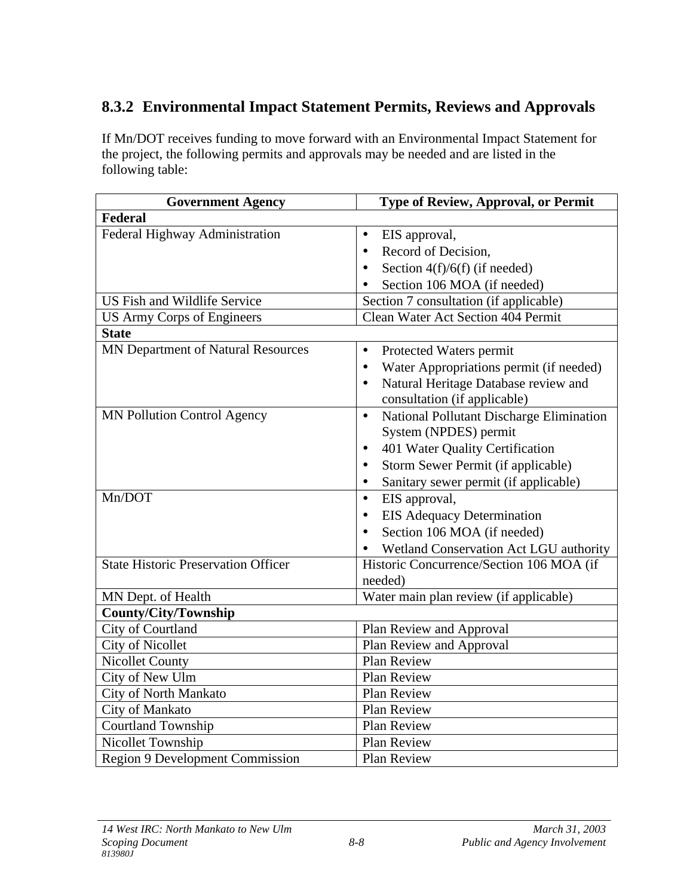## **8.3.2 Environmental Impact Statement Permits, Reviews and Approvals**

If Mn/DOT receives funding to move forward with an Environmental Impact Statement for the project, the following permits and approvals may be needed and are listed in the following table:

| <b>Government Agency</b>                   | <b>Type of Review, Approval, or Permit</b>            |  |  |
|--------------------------------------------|-------------------------------------------------------|--|--|
| Federal                                    |                                                       |  |  |
| Federal Highway Administration             | EIS approval,<br>$\bullet$                            |  |  |
|                                            | Record of Decision,<br>$\bullet$                      |  |  |
|                                            | Section $4(f)/6(f)$ (if needed)<br>$\bullet$          |  |  |
|                                            | Section 106 MOA (if needed)                           |  |  |
| US Fish and Wildlife Service               | Section 7 consultation (if applicable)                |  |  |
| <b>US Army Corps of Engineers</b>          | <b>Clean Water Act Section 404 Permit</b>             |  |  |
| <b>State</b>                               |                                                       |  |  |
| MN Department of Natural Resources         | Protected Waters permit<br>$\bullet$                  |  |  |
|                                            | Water Appropriations permit (if needed)<br>$\bullet$  |  |  |
|                                            | Natural Heritage Database review and<br>$\bullet$     |  |  |
|                                            | consultation (if applicable)                          |  |  |
| <b>MN Pollution Control Agency</b>         | National Pollutant Discharge Elimination<br>$\bullet$ |  |  |
|                                            | System (NPDES) permit                                 |  |  |
|                                            | 401 Water Quality Certification<br>$\bullet$          |  |  |
|                                            | Storm Sewer Permit (if applicable)                    |  |  |
|                                            | Sanitary sewer permit (if applicable)                 |  |  |
| Mn/DOT                                     | EIS approval,<br>$\bullet$                            |  |  |
|                                            | <b>EIS Adequacy Determination</b><br>$\bullet$        |  |  |
|                                            | Section 106 MOA (if needed)<br>$\bullet$              |  |  |
|                                            | Wetland Conservation Act LGU authority                |  |  |
| <b>State Historic Preservation Officer</b> | Historic Concurrence/Section 106 MOA (if              |  |  |
|                                            | needed)                                               |  |  |
| MN Dept. of Health                         | Water main plan review (if applicable)                |  |  |
| <b>County/City/Township</b>                |                                                       |  |  |
| City of Courtland                          | Plan Review and Approval                              |  |  |
| <b>City of Nicollet</b>                    | Plan Review and Approval                              |  |  |
| <b>Nicollet County</b>                     | Plan Review                                           |  |  |
| City of New Ulm                            | Plan Review                                           |  |  |
| City of North Mankato                      | Plan Review                                           |  |  |
| City of Mankato                            | Plan Review                                           |  |  |
| Courtland Township                         | Plan Review                                           |  |  |
| Nicollet Township                          | Plan Review                                           |  |  |
| <b>Region 9 Development Commission</b>     | Plan Review                                           |  |  |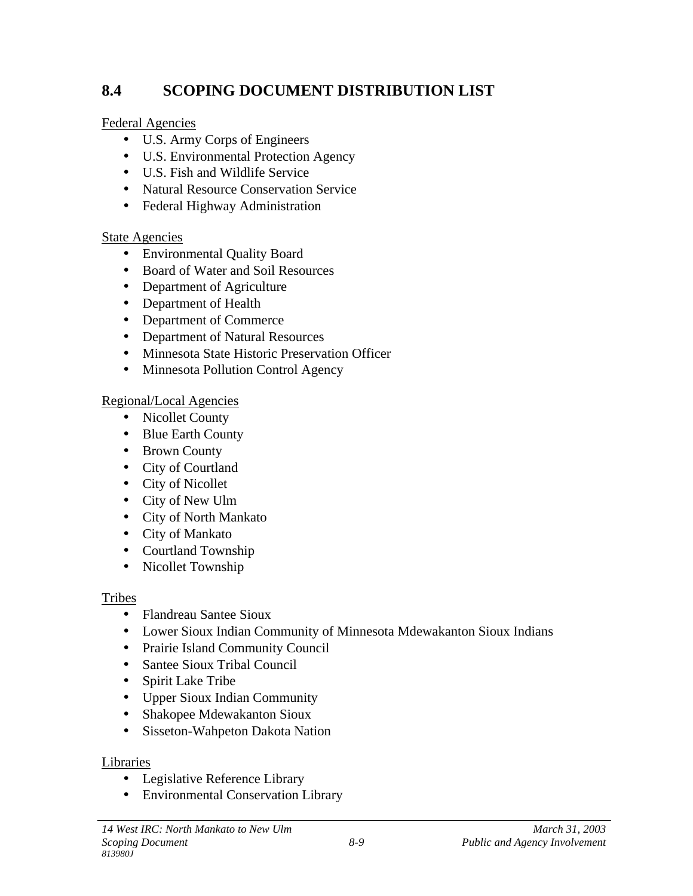## **8.4 SCOPING DOCUMENT DISTRIBUTION LIST**

Federal Agencies

- U.S. Army Corps of Engineers
- U.S. Environmental Protection Agency
- U.S. Fish and Wildlife Service
- Natural Resource Conservation Service
- Federal Highway Administration

### State Agencies

- Environmental Quality Board
- Board of Water and Soil Resources
- Department of Agriculture
- Department of Health
- Department of Commerce
- Department of Natural Resources
- Minnesota State Historic Preservation Officer
- Minnesota Pollution Control Agency

### Regional/Local Agencies

- Nicollet County
- Blue Earth County
- Brown County
- City of Courtland
- City of Nicollet
- City of New Ulm
- City of North Mankato
- City of Mankato
- Courtland Township
- Nicollet Township

#### Tribes

- Flandreau Santee Sioux
- Lower Sioux Indian Community of Minnesota Mdewakanton Sioux Indians
- Prairie Island Community Council
- Santee Sioux Tribal Council
- Spirit Lake Tribe
- Upper Sioux Indian Community
- Shakopee Mdewakanton Sioux
- Sisseton-Wahpeton Dakota Nation

#### Libraries

- Legislative Reference Library
- Environmental Conservation Library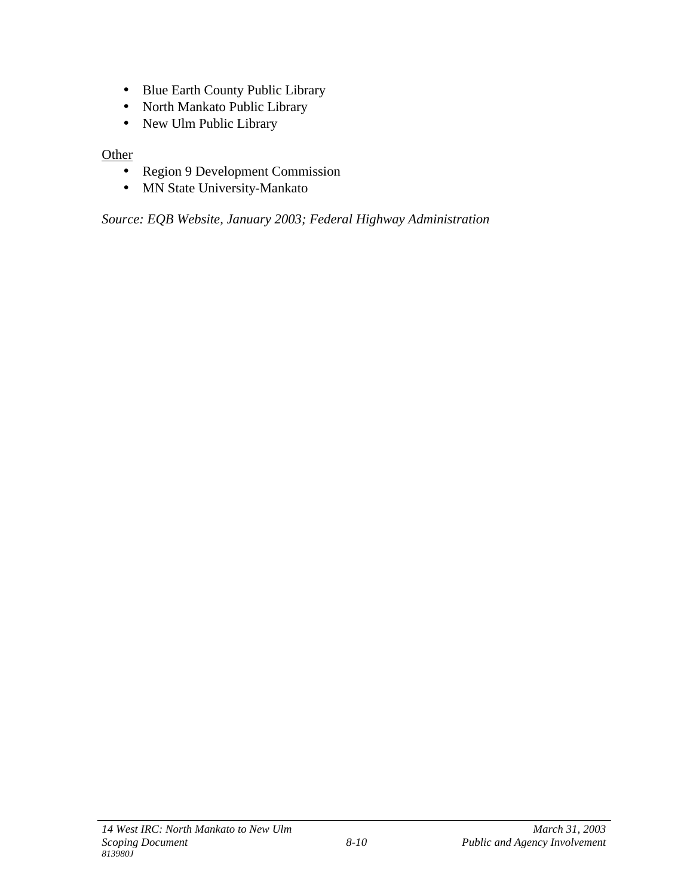- Blue Earth County Public Library
- North Mankato Public Library
- New Ulm Public Library

#### **Other**

- Region 9 Development Commission
- MN State University-Mankato

*Source: EQB Website, January 2003; Federal Highway Administration*